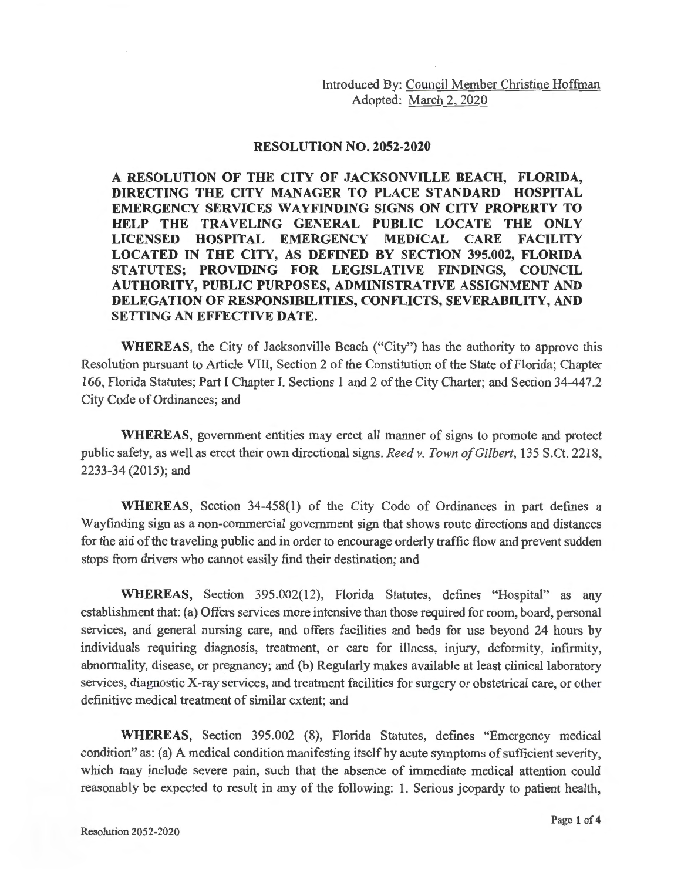Introduced By: Council Member Christine Hoffman Adopted: March 2, 2020

## **RESOLUTION NO. 2052-2020**

**A RESOLUTION OF THE CITY OF JACKSONVILLE BEACH, FLORIDA, DIRECTING THE CITY MANAGER TO PLACE STANDARD HOSPITAL EMERGENCY SERVICES WAYFINDING SIGNS ON CITY PROPERTY TO HELP THE TRAVELING GENERAL PUBLIC LOCATE THE ONLY LICENSED HOSPITAL EMERGENCY MEDICAL CARE FACILITY LOCATED IN THE CITY, AS DEFINED BY SECTION 395.002, FLORIDA STATUTES; PROVIDING FOR LEGISLATIVE FINDINGS, COUNCIL AUTHORITY, PUBLIC PURPOSES, ADMINISTRATIVE ASSIGNMENT AND DELEGATION OF RESPONSIBILITIES, CONFLICTS, SEVERABILITY, AND SETTING AN EFFECTIVE DATE.** 

**WHEREAS,** the City of Jacksonville Beach ("City") has the authority to approve this Resolution pursuant to Article VIII, Section 2 of the Constitution of the State of Florida; Chapter 166, Florida Statutes; Part I Chapter I. Sections 1 and 2 of the City Charter; and Section 34-447.2 City Code of Ordinances; and

**WHEREAS,** government entities may erect all manner of signs to promote and protect public safety, as well as erect their own directional signs. *Reed v. Town of Gilbert,* 135 S.Ct. 2218, 2233-34 (2015); and

**WHEREAS,** Section 34-458(1) of the City Code of Ordinances in part defines a Wayfinding sign as a non-commercial government sign that shows route directions and distances for the aid of the traveling public and in order to encourage orderly traffic flow and prevent sudden stops from drivers who cannot easily find their destination; and

**WHEREAS,** Section 395.002(12), Florida Statutes, defines "Hospital" as any establishment that: (a) Offers services more intensive than those required for room, board, personal services, and general nursing care, and offers facilities and beds for use beyond 24 hours by individuals requiring diagnosis, treatment, or care for illness, injury, deformity, infirmity, abnormality, disease, or pregnancy; and (b) Regularly makes available at least clinical laboratory services, diagnostic X-ray services, and treatment facilities for surgery or obstetrical care, or other definitive medical treatment of similar extent; and

**WHEREAS,** Section 395.002 (8), Florida Statutes, defines "Emergency medical condition" as: (a) A medical condition manifesting itself by acute symptoms of sufficient severity, which may include severe pain, such that the absence of immediate medical attention could reasonably be expected to result in any of the following: 1. Serious jeopardy to patient health,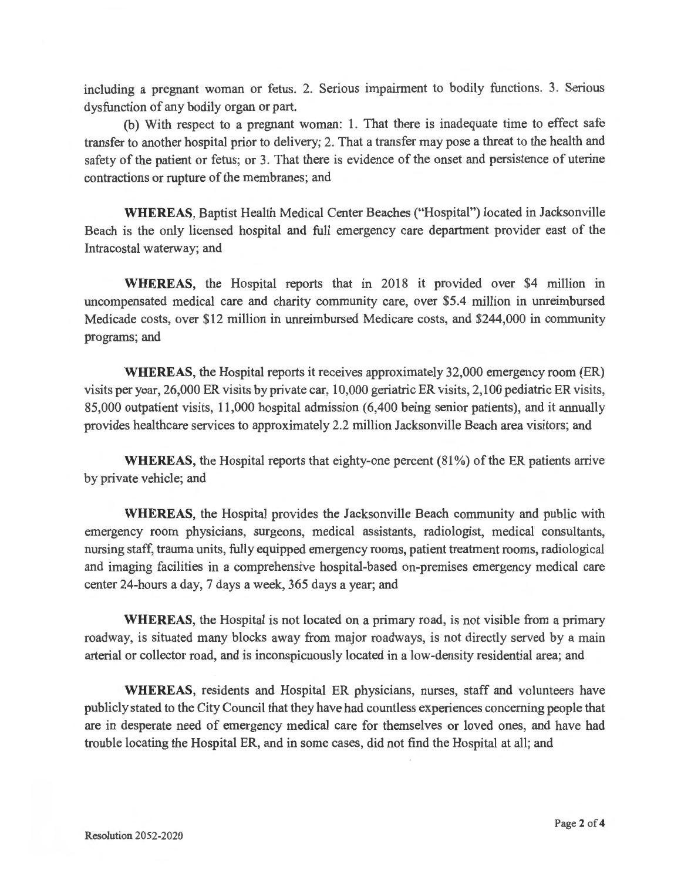including a pregnant woman or fetus. 2. Serious impairment to bodily functions. 3. Serious dysfunction of any bodily organ or part.

(b) With respect to a pregnant woman: 1. That there is inadequate time to effect safe transfer to another hospital prior to delivery; 2. That a transfer may pose a threat to the health and safety of the patient or fetus; or 3. That there is evidence of the onset and persistence of uterine contractions or rupture of the membranes; and

**WHEREAS,** Baptist Health Medical Center Beaches ("Hospital") located in Jacksonville Beach is the only licensed hospital and full emergency care department provider east of the Intracostal waterway; and

**WHEREAS,** the Hospital reports that in 2018 it provided over \$4 million in uncompensated medical care and charity community care, over \$5.4 million in unreimbursed Medicade costs, over \$12 million in unreimbursed Medicare costs, and \$244,000 in community programs; and

**WHEREAS,** the Hospital reports it receives approximately 32,000 emergency room (ER) visits per year, 26,000 ER visits by private car, 10,000 geriatric ER visits, 2,100 pediatric ER visits, 85,000 outpatient visits, 11 ,000 hospital admission (6,400 being senior patients), and it annually provides healthcare services to approximately 2.2 million Jacksonville Beach area visitors; and

**WHEREAS,** the Hospital reports that eighty-one percent (81 %) of the ER patients arrive by private vehicle; and

**WHEREAS,** the Hospital provides the Jacksonville Beach community and public with emergency room physicians, surgeons, medical assistants, radiologist, medical consultants, nursing staff, trauma units, fully equipped emergency rooms, patient treatment rooms, radiological and imaging facilities in a comprehensive hospital-based on-premises emergency medical care center 24-hours a day, 7 days a week, 365 days a year; and

**WHEREAS,** the Hospital is not located on a primary road, is not visible from a primary roadway, is situated many blocks away from major roadways, is not directly served by a main arterial or collector road, and is inconspicuously located in a low-density residential area; and

**WHEREAS**, residents and Hospital ER physicians, nurses, staff and volunteers have publicly stated to the City Council that they have had countless experiences concerning people that are in desperate need of emergency medical care for themselves or loved ones, and have had trouble locating the Hospital ER, and in some cases, did not find the Hospital at all; and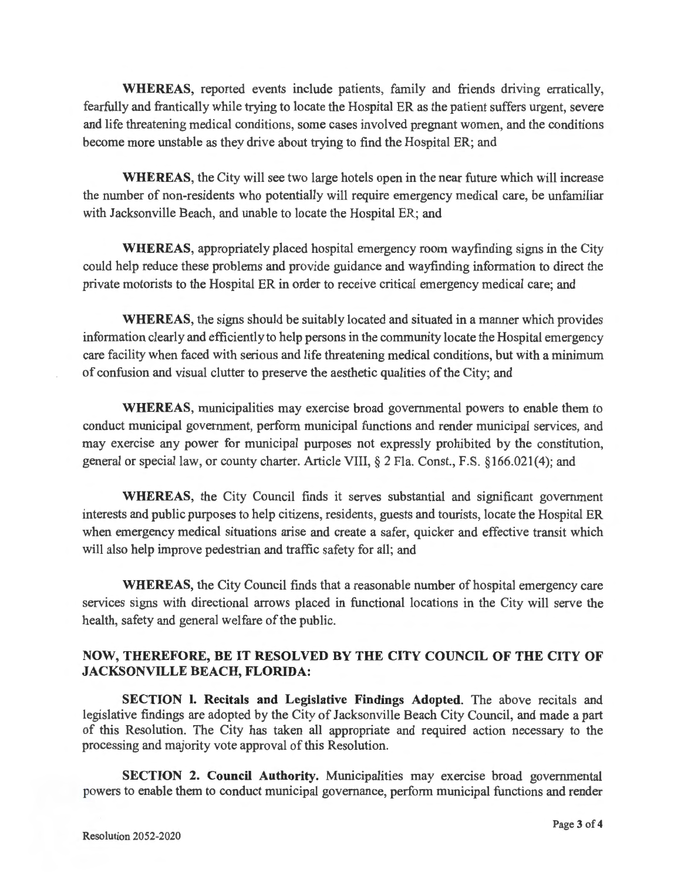**WHEREAS,** reported events include patients, family and friends driving erratically, fearfully and frantically while trying to locate the Hospital ER as the patient suffers urgent, severe and life threatening medical conditions, some cases involved pregnant women, and the conditions become more unstable as they drive about trying to find the Hospital ER; and

**WHEREAS,** the City will see two large hotels open in the near future which will increase the number of non-residents who potentially will require emergency medical care, be unfamiliar with Jacksonville Beach, and unable to locate the Hospital ER; and

**WHEREAS,** appropriately placed hospital emergency room wayfinding signs in the City could help reduce these problems and provide guidance and wayfinding information to direct the private motorists to the Hospital ER in order to receive critical emergency medical care; and

**WHEREAS,** the signs should be suitably located and situated in a manner which provides information clearly and efficiently to help persons in the community locate the Hospital emergency care facility when faced with serious and life threatening medical conditions, but with a minimum of confusion and visual clutter to preserve the aesthetic qualities of the City; and

**WHEREAS,** municipalities may exercise broad governmental powers to enable them to conduct municipal government, perform municipal functions and render municipal services, and may exercise any power for municipal purposes not expressly prohibited by the constitution, general or special law, or county charter. Article VIII, § 2 Fla. Const., F.S. §166.021(4); and

**WHEREAS,** the City Council finds it serves substantial and significant government interests and public purposes to help citizens, residents, guests and tourists, locate the Hospital ER when emergency medical situations arise and create a safer, quicker and effective transit which will also help improve pedestrian and traffic safety for all; and

**WHEREAS,** the City Council finds that a reasonable number of hospital emergency care services signs with directional arrows placed in functional locations in the City will serve the health, safety and general welfare of the public.

## **NOW, THEREFORE, BE IT RESOLVED BY THE CITY COUNCIL OF THE CITY OF JACKSONVILLE BEACH, FLORIDA:**

**SECTION I. Recitals and Legislative Findings Adopted.** The above recitals and legislative findings are adopted by the City of Jacksonville Beach City Council, and made a part of this Resolution. The City has taken all appropriate and required action necessary to the processing and majority vote approval of this Resolution.

**SECTION 2. Council Authority.** Municipalities may exercise broad governmental powers to enable them to conduct municipal governance, perform municipal functions and render